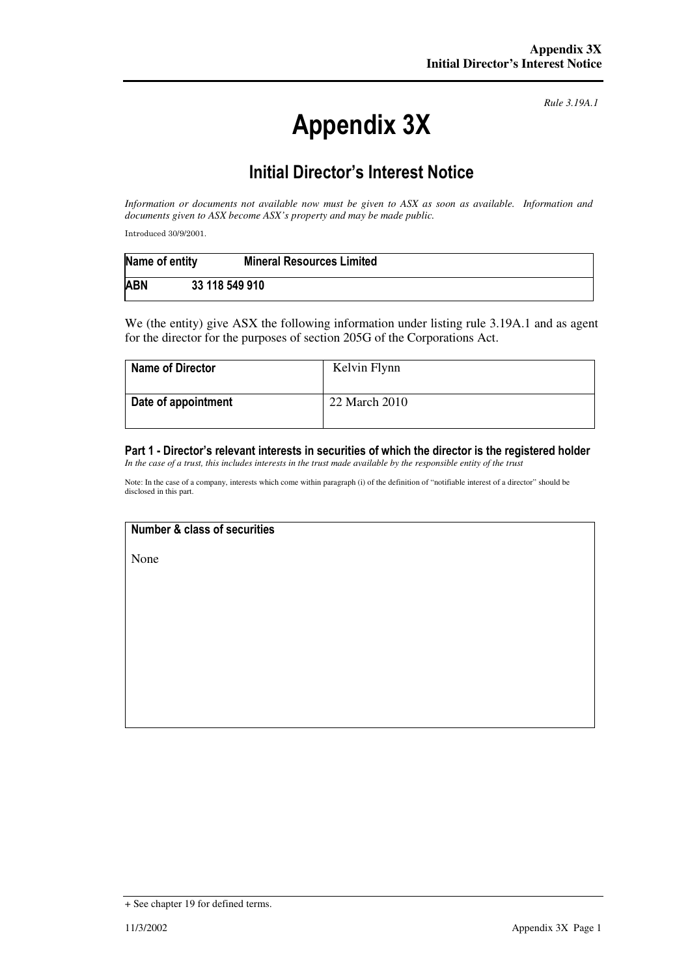# Appendix 3X

*Rule 3.19A.1*

## Initial Director's Interest Notice

*Information or documents not available now must be given to ASX as soon as available. Information and documents given to ASX become ASX's property and may be made public.* 

Introduced 30/9/2001.

| Name of entity | <b>Mineral Resources Limited</b> |
|----------------|----------------------------------|
| <b>ABN</b>     | 33 118 549 910                   |

We (the entity) give ASX the following information under listing rule 3.19A.1 and as agent for the director for the purposes of section 205G of the Corporations Act.

| <b>Name of Director</b> | Kelvin Flynn  |
|-------------------------|---------------|
| Date of appointment     | 22 March 2010 |

### Part 1 - Director's relevant interests in securities of which the director is the registered holder

*In the case of a trust, this includes interests in the trust made available by the responsible entity of the trust*

Note: In the case of a company, interests which come within paragraph (i) of the definition of "notifiable interest of a director" should be disclosed in this part.

#### Number & class of securities

None

<sup>+</sup> See chapter 19 for defined terms.